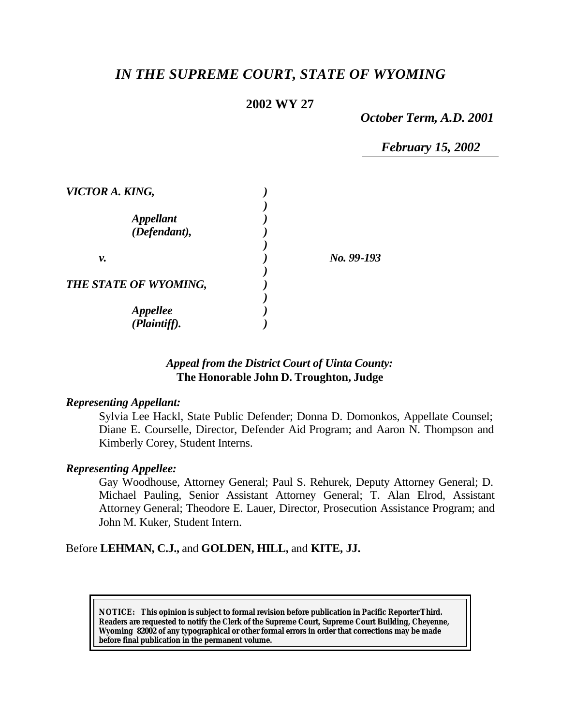# *IN THE SUPREME COURT, STATE OF WYOMING*

# **2002 WY 27**

*October Term, A.D. 2001*

*February 15, 2002*

| VICTOR A. KING,                         |            |
|-----------------------------------------|------------|
| <i><b>Appellant</b></i><br>(Defendant), |            |
| ν.                                      | No. 99-193 |
| THE STATE OF WYOMING,                   |            |
| <b>Appellee</b><br>(Plaintiff).         |            |

### *Appeal from the District Court of Uinta County:* **The Honorable John D. Troughton, Judge**

#### *Representing Appellant:*

Sylvia Lee Hackl, State Public Defender; Donna D. Domonkos, Appellate Counsel; Diane E. Courselle, Director, Defender Aid Program; and Aaron N. Thompson and Kimberly Corey, Student Interns.

#### *Representing Appellee:*

Gay Woodhouse, Attorney General; Paul S. Rehurek, Deputy Attorney General; D. Michael Pauling, Senior Assistant Attorney General; T. Alan Elrod, Assistant Attorney General; Theodore E. Lauer, Director, Prosecution Assistance Program; and John M. Kuker, Student Intern.

Before **LEHMAN, C.J.,** and **GOLDEN, HILL,** and **KITE, JJ.**

**NOTICE:** *This opinion is subject to formal revision before publication in Pacific Reporter Third. Readers are requested to notify the Clerk of the Supreme Court, Supreme Court Building, Cheyenne, Wyoming 82002 of any typographical or other formal errors in order that corrections may be made before final publication in the permanent volume.*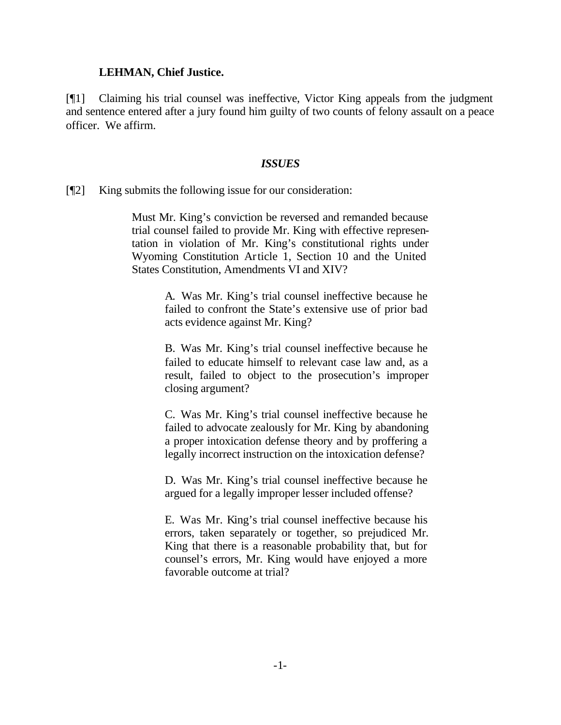#### **LEHMAN, Chief Justice.**

[¶1] Claiming his trial counsel was ineffective, Victor King appeals from the judgment and sentence entered after a jury found him guilty of two counts of felony assault on a peace officer. We affirm.

#### *ISSUES*

[¶2] King submits the following issue for our consideration:

Must Mr. King's conviction be reversed and remanded because trial counsel failed to provide Mr. King with effective representation in violation of Mr. King's constitutional rights under Wyoming Constitution Article 1, Section 10 and the United States Constitution, Amendments VI and XIV?

> A. Was Mr. King's trial counsel ineffective because he failed to confront the State's extensive use of prior bad acts evidence against Mr. King?

> B. Was Mr. King's trial counsel ineffective because he failed to educate himself to relevant case law and, as a result, failed to object to the prosecution's improper closing argument?

> C. Was Mr. King's trial counsel ineffective because he failed to advocate zealously for Mr. King by abandoning a proper intoxication defense theory and by proffering a legally incorrect instruction on the intoxication defense?

> D. Was Mr. King's trial counsel ineffective because he argued for a legally improper lesser included offense?

> E. Was Mr. King's trial counsel ineffective because his errors, taken separately or together, so prejudiced Mr. King that there is a reasonable probability that, but for counsel's errors, Mr. King would have enjoyed a more favorable outcome at trial?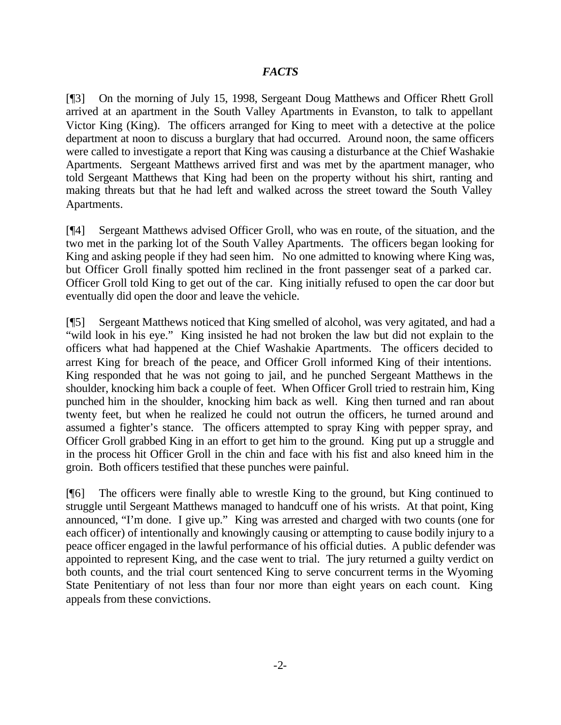### *FACTS*

[¶3] On the morning of July 15, 1998, Sergeant Doug Matthews and Officer Rhett Groll arrived at an apartment in the South Valley Apartments in Evanston, to talk to appellant Victor King (King). The officers arranged for King to meet with a detective at the police department at noon to discuss a burglary that had occurred. Around noon, the same officers were called to investigate a report that King was causing a disturbance at the Chief Washakie Apartments. Sergeant Matthews arrived first and was met by the apartment manager, who told Sergeant Matthews that King had been on the property without his shirt, ranting and making threats but that he had left and walked across the street toward the South Valley Apartments.

[¶4] Sergeant Matthews advised Officer Groll, who was en route, of the situation, and the two met in the parking lot of the South Valley Apartments. The officers began looking for King and asking people if they had seen him. No one admitted to knowing where King was, but Officer Groll finally spotted him reclined in the front passenger seat of a parked car. Officer Groll told King to get out of the car. King initially refused to open the car door but eventually did open the door and leave the vehicle.

[¶5] Sergeant Matthews noticed that King smelled of alcohol, was very agitated, and had a "wild look in his eye." King insisted he had not broken the law but did not explain to the officers what had happened at the Chief Washakie Apartments. The officers decided to arrest King for breach of the peace, and Officer Groll informed King of their intentions. King responded that he was not going to jail, and he punched Sergeant Matthews in the shoulder, knocking him back a couple of feet. When Officer Groll tried to restrain him, King punched him in the shoulder, knocking him back as well. King then turned and ran about twenty feet, but when he realized he could not outrun the officers, he turned around and assumed a fighter's stance. The officers attempted to spray King with pepper spray, and Officer Groll grabbed King in an effort to get him to the ground. King put up a struggle and in the process hit Officer Groll in the chin and face with his fist and also kneed him in the groin. Both officers testified that these punches were painful.

[¶6] The officers were finally able to wrestle King to the ground, but King continued to struggle until Sergeant Matthews managed to handcuff one of his wrists. At that point, King announced, "I'm done. I give up." King was arrested and charged with two counts (one for each officer) of intentionally and knowingly causing or attempting to cause bodily injury to a peace officer engaged in the lawful performance of his official duties. A public defender was appointed to represent King, and the case went to trial. The jury returned a guilty verdict on both counts, and the trial court sentenced King to serve concurrent terms in the Wyoming State Penitentiary of not less than four nor more than eight years on each count. King appeals from these convictions.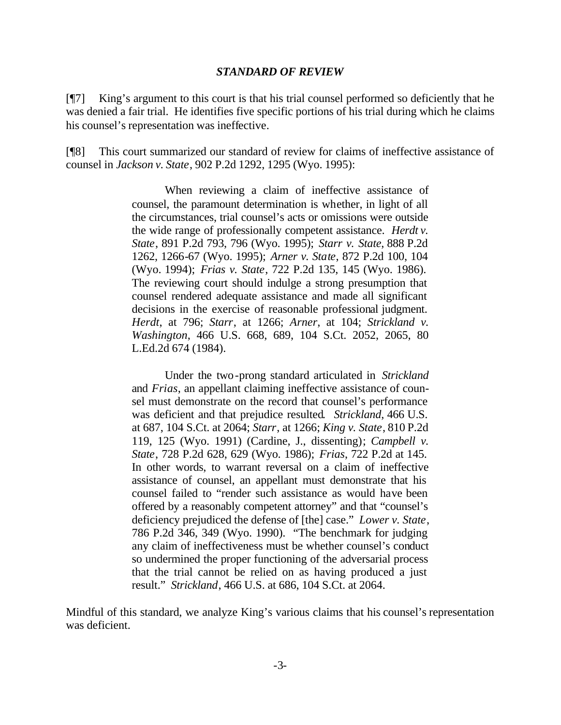#### *STANDARD OF REVIEW*

[¶7] King's argument to this court is that his trial counsel performed so deficiently that he was denied a fair trial. He identifies five specific portions of his trial during which he claims his counsel's representation was ineffective.

[¶8] This court summarized our standard of review for claims of ineffective assistance of counsel in *Jackson v. State*, 902 P.2d 1292, 1295 (Wyo. 1995):

> When reviewing a claim of ineffective assistance of counsel, the paramount determination is whether, in light of all the circumstances, trial counsel's acts or omissions were outside the wide range of professionally competent assistance. *Herdt v. State*, 891 P.2d 793, 796 (Wyo. 1995); *Starr v. State*, 888 P.2d 1262, 1266-67 (Wyo. 1995); *Arner v. State*, 872 P.2d 100, 104 (Wyo. 1994); *Frias v. State*, 722 P.2d 135, 145 (Wyo. 1986). The reviewing court should indulge a strong presumption that counsel rendered adequate assistance and made all significant decisions in the exercise of reasonable professional judgment. *Herdt*, at 796; *Starr*, at 1266; *Arner*, at 104; *Strickland v. Washington*, 466 U.S. 668, 689, 104 S.Ct. 2052, 2065, 80 L.Ed.2d 674 (1984).

> Under the two-prong standard articulated in *Strickland* and *Frias*, an appellant claiming ineffective assistance of counsel must demonstrate on the record that counsel's performance was deficient and that prejudice resulted*. Strickland*, 466 U.S. at 687, 104 S.Ct. at 2064; *Starr*, at 1266; *King v. State*, 810 P.2d 119, 125 (Wyo. 1991) (Cardine, J., dissenting); *Campbell v. State*, 728 P.2d 628, 629 (Wyo. 1986); *Frias*, 722 P.2d at 145. In other words, to warrant reversal on a claim of ineffective assistance of counsel, an appellant must demonstrate that his counsel failed to "render such assistance as would have been offered by a reasonably competent attorney" and that "counsel's deficiency prejudiced the defense of [the] case." *Lower v. State*, 786 P.2d 346, 349 (Wyo. 1990). "The benchmark for judging any claim of ineffectiveness must be whether counsel's conduct so undermined the proper functioning of the adversarial process that the trial cannot be relied on as having produced a just result." *Strickland*, 466 U.S. at 686, 104 S.Ct. at 2064.

Mindful of this standard, we analyze King's various claims that his counsel's representation was deficient.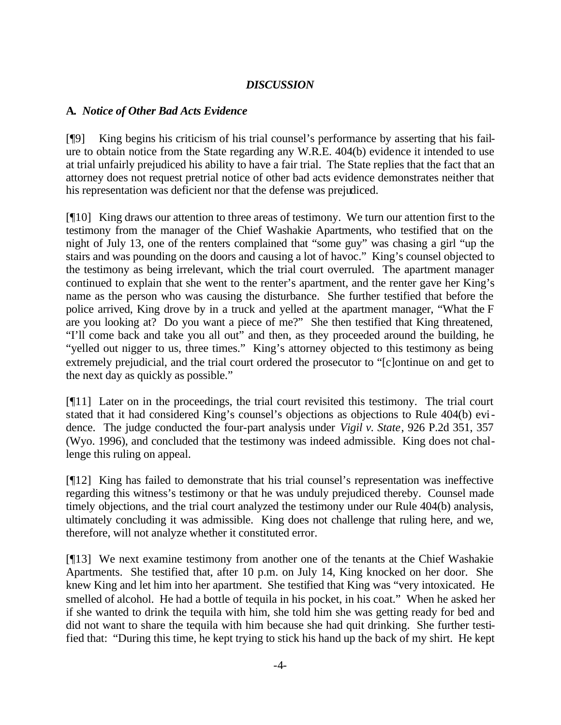# *DISCUSSION*

### **A.** *Notice of Other Bad Acts Evidence*

[¶9] King begins his criticism of his trial counsel's performance by asserting that his failure to obtain notice from the State regarding any W.R.E. 404(b) evidence it intended to use at trial unfairly prejudiced his ability to have a fair trial. The State replies that the fact that an attorney does not request pretrial notice of other bad acts evidence demonstrates neither that his representation was deficient nor that the defense was prejudiced.

[¶10] King draws our attention to three areas of testimony. We turn our attention first to the testimony from the manager of the Chief Washakie Apartments, who testified that on the night of July 13, one of the renters complained that "some guy" was chasing a girl "up the stairs and was pounding on the doors and causing a lot of havoc." King's counsel objected to the testimony as being irrelevant, which the trial court overruled. The apartment manager continued to explain that she went to the renter's apartment, and the renter gave her King's name as the person who was causing the disturbance. She further testified that before the police arrived, King drove by in a truck and yelled at the apartment manager, "What the F are you looking at? Do you want a piece of me?" She then testified that King threatened, "I'll come back and take you all out" and then, as they proceeded around the building, he "yelled out nigger to us, three times." King's attorney objected to this testimony as being extremely prejudicial, and the trial court ordered the prosecutor to "[c]ontinue on and get to the next day as quickly as possible."

[¶11] Later on in the proceedings, the trial court revisited this testimony. The trial court stated that it had considered King's counsel's objections as objections to Rule 404(b) evidence. The judge conducted the four-part analysis under *Vigil v. State*, 926 P.2d 351, 357 (Wyo. 1996), and concluded that the testimony was indeed admissible. King does not challenge this ruling on appeal.

[¶12] King has failed to demonstrate that his trial counsel's representation was ineffective regarding this witness's testimony or that he was unduly prejudiced thereby. Counsel made timely objections, and the trial court analyzed the testimony under our Rule 404(b) analysis, ultimately concluding it was admissible. King does not challenge that ruling here, and we, therefore, will not analyze whether it constituted error.

[¶13] We next examine testimony from another one of the tenants at the Chief Washakie Apartments. She testified that, after 10 p.m. on July 14, King knocked on her door. She knew King and let him into her apartment. She testified that King was "very intoxicated. He smelled of alcohol. He had a bottle of tequila in his pocket, in his coat." When he asked her if she wanted to drink the tequila with him, she told him she was getting ready for bed and did not want to share the tequila with him because she had quit drinking. She further testified that: "During this time, he kept trying to stick his hand up the back of my shirt. He kept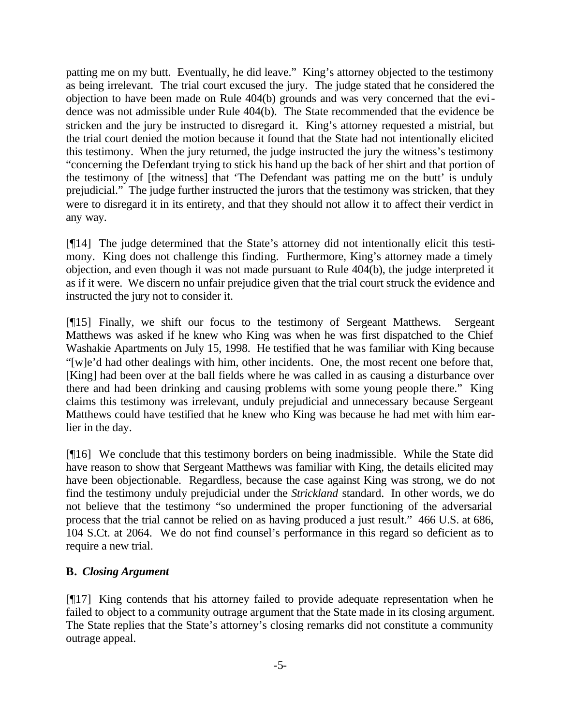patting me on my butt. Eventually, he did leave." King's attorney objected to the testimony as being irrelevant. The trial court excused the jury. The judge stated that he considered the objection to have been made on Rule 404(b) grounds and was very concerned that the evidence was not admissible under Rule 404(b). The State recommended that the evidence be stricken and the jury be instructed to disregard it. King's attorney requested a mistrial, but the trial court denied the motion because it found that the State had not intentionally elicited this testimony. When the jury returned, the judge instructed the jury the witness's testimony "concerning the Defendant trying to stick his hand up the back of her shirt and that portion of the testimony of [the witness] that 'The Defendant was patting me on the butt' is unduly prejudicial." The judge further instructed the jurors that the testimony was stricken, that they were to disregard it in its entirety, and that they should not allow it to affect their verdict in any way.

[¶14] The judge determined that the State's attorney did not intentionally elicit this testimony. King does not challenge this finding. Furthermore, King's attorney made a timely objection, and even though it was not made pursuant to Rule 404(b), the judge interpreted it as if it were. We discern no unfair prejudice given that the trial court struck the evidence and instructed the jury not to consider it.

[¶15] Finally, we shift our focus to the testimony of Sergeant Matthews. Sergeant Matthews was asked if he knew who King was when he was first dispatched to the Chief Washakie Apartments on July 15, 1998. He testified that he was familiar with King because "[w]e'd had other dealings with him, other incidents. One, the most recent one before that, [King] had been over at the ball fields where he was called in as causing a disturbance over there and had been drinking and causing problems with some young people there." King claims this testimony was irrelevant, unduly prejudicial and unnecessary because Sergeant Matthews could have testified that he knew who King was because he had met with him earlier in the day.

[¶16] We conclude that this testimony borders on being inadmissible. While the State did have reason to show that Sergeant Matthews was familiar with King, the details elicited may have been objectionable. Regardless, because the case against King was strong, we do not find the testimony unduly prejudicial under the *Strickland* standard. In other words, we do not believe that the testimony "so undermined the proper functioning of the adversarial process that the trial cannot be relied on as having produced a just result." 466 U.S. at 686, 104 S.Ct. at 2064. We do not find counsel's performance in this regard so deficient as to require a new trial.

# **B.** *Closing Argument*

[¶17] King contends that his attorney failed to provide adequate representation when he failed to object to a community outrage argument that the State made in its closing argument. The State replies that the State's attorney's closing remarks did not constitute a community outrage appeal.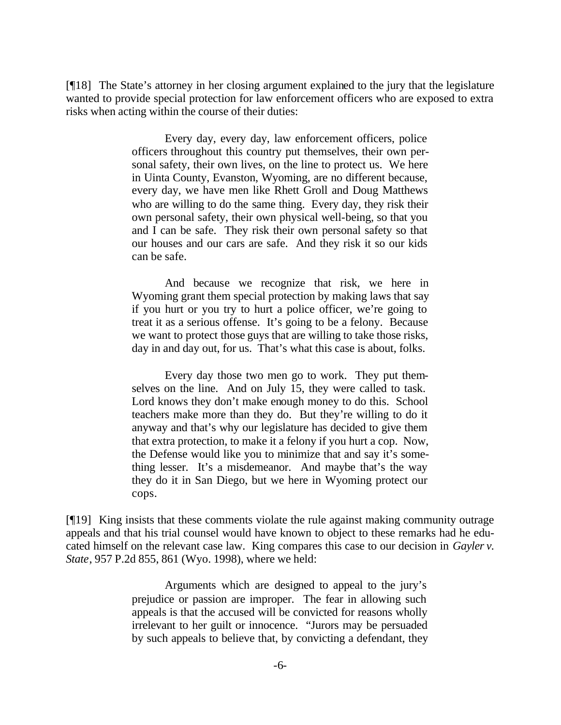[¶18] The State's attorney in her closing argument explained to the jury that the legislature wanted to provide special protection for law enforcement officers who are exposed to extra risks when acting within the course of their duties:

> Every day, every day, law enforcement officers, police officers throughout this country put themselves, their own personal safety, their own lives, on the line to protect us. We here in Uinta County, Evanston, Wyoming, are no different because, every day, we have men like Rhett Groll and Doug Matthews who are willing to do the same thing. Every day, they risk their own personal safety, their own physical well-being, so that you and I can be safe. They risk their own personal safety so that our houses and our cars are safe. And they risk it so our kids can be safe.

> And because we recognize that risk, we here in Wyoming grant them special protection by making laws that say if you hurt or you try to hurt a police officer, we're going to treat it as a serious offense. It's going to be a felony. Because we want to protect those guys that are willing to take those risks, day in and day out, for us. That's what this case is about, folks.

> Every day those two men go to work. They put themselves on the line. And on July 15, they were called to task. Lord knows they don't make enough money to do this. School teachers make more than they do. But they're willing to do it anyway and that's why our legislature has decided to give them that extra protection, to make it a felony if you hurt a cop. Now, the Defense would like you to minimize that and say it's something lesser. It's a misdemeanor. And maybe that's the way they do it in San Diego, but we here in Wyoming protect our cops.

[¶19] King insists that these comments violate the rule against making community outrage appeals and that his trial counsel would have known to object to these remarks had he educated himself on the relevant case law. King compares this case to our decision in *Gayler v. State*, 957 P.2d 855, 861 (Wyo. 1998), where we held:

> Arguments which are designed to appeal to the jury's prejudice or passion are improper. The fear in allowing such appeals is that the accused will be convicted for reasons wholly irrelevant to her guilt or innocence. "Jurors may be persuaded by such appeals to believe that, by convicting a defendant, they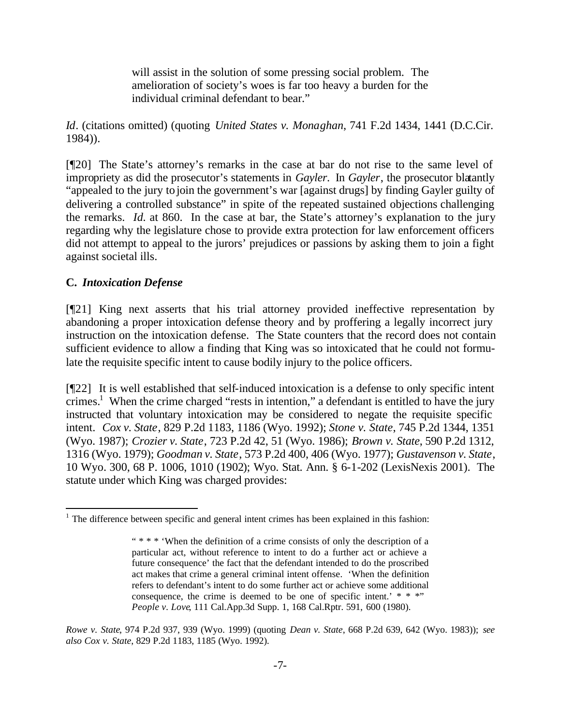will assist in the solution of some pressing social problem. The amelioration of society's woes is far too heavy a burden for the individual criminal defendant to bear."

*Id*. (citations omitted) (quoting *United States v. Monaghan*, 741 F.2d 1434, 1441 (D.C.Cir. 1984)).

[¶20] The State's attorney's remarks in the case at bar do not rise to the same level of impropriety as did the prosecutor's statements in *Gayler*. In *Gayler*, the prosecutor blatantly "appealed to the jury to join the government's war [against drugs] by finding Gayler guilty of delivering a controlled substance" in spite of the repeated sustained objections challenging the remarks. *Id.* at 860. In the case at bar, the State's attorney's explanation to the jury regarding why the legislature chose to provide extra protection for law enforcement officers did not attempt to appeal to the jurors' prejudices or passions by asking them to join a fight against societal ills.

# **C.** *Intoxication Defense*

l

[¶21] King next asserts that his trial attorney provided ineffective representation by abandoning a proper intoxication defense theory and by proffering a legally incorrect jury instruction on the intoxication defense. The State counters that the record does not contain sufficient evidence to allow a finding that King was so intoxicated that he could not formulate the requisite specific intent to cause bodily injury to the police officers.

[¶22] It is well established that self-induced intoxication is a defense to only specific intent crimes.<sup>1</sup> When the crime charged "rests in intention," a defendant is entitled to have the jury instructed that voluntary intoxication may be considered to negate the requisite specific intent. *Cox v. State*, 829 P.2d 1183, 1186 (Wyo. 1992); *Stone v. State*, 745 P.2d 1344, 1351 (Wyo. 1987); *Crozier v. State*, 723 P.2d 42, 51 (Wyo. 1986); *Brown v. State*, 590 P.2d 1312, 1316 (Wyo. 1979); *Goodman v. State*, 573 P.2d 400, 406 (Wyo. 1977); *Gustavenson v. State*, 10 Wyo. 300, 68 P. 1006, 1010 (1902); Wyo. Stat. Ann. § 6-1-202 (LexisNexis 2001). The statute under which King was charged provides:

 $1$  The difference between specific and general intent crimes has been explained in this fashion:

<sup>&</sup>quot; \* \* \* 'When the definition of a crime consists of only the description of a particular act, without reference to intent to do a further act or achieve a future consequence' the fact that the defendant intended to do the proscribed act makes that crime a general criminal intent offense. 'When the definition refers to defendant's intent to do some further act or achieve some additional consequence, the crime is deemed to be one of specific intent.'  $* * * "$ *People v. Love*, 111 Cal.App.3d Supp. 1, 168 Cal.Rptr. 591, 600 (1980).

*Rowe v. State*, 974 P.2d 937, 939 (Wyo. 1999) (quoting *Dean v. State*, 668 P.2d 639, 642 (Wyo. 1983)); *see also Cox v. State*, 829 P.2d 1183, 1185 (Wyo. 1992).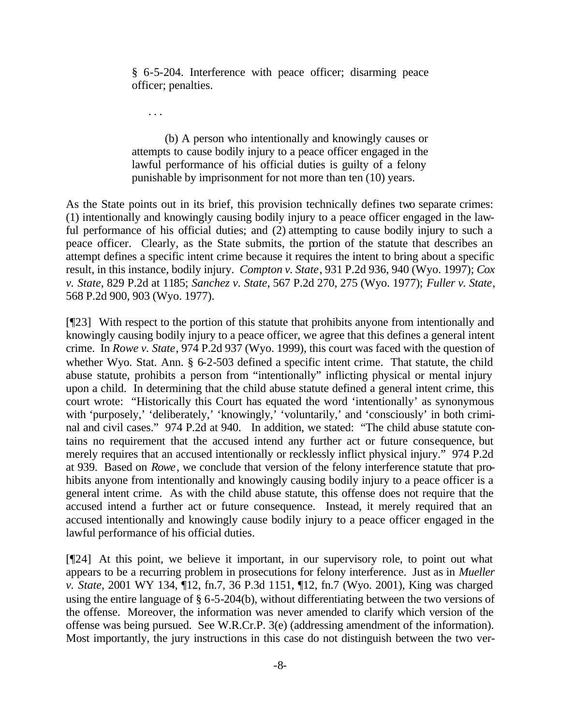§ 6-5-204. Interference with peace officer; disarming peace officer; penalties.

. . .

(b) A person who intentionally and knowingly causes or attempts to cause bodily injury to a peace officer engaged in the lawful performance of his official duties is guilty of a felony punishable by imprisonment for not more than ten (10) years.

As the State points out in its brief, this provision technically defines two separate crimes: (1) intentionally and knowingly causing bodily injury to a peace officer engaged in the lawful performance of his official duties; and (2) attempting to cause bodily injury to such a peace officer. Clearly, as the State submits, the portion of the statute that describes an attempt defines a specific intent crime because it requires the intent to bring about a specific result, in this instance, bodily injury. *Compton v. State*, 931 P.2d 936, 940 (Wyo. 1997); *Cox v. State*, 829 P.2d at 1185; *Sanchez v. State*, 567 P.2d 270, 275 (Wyo. 1977); *Fuller v. State*, 568 P.2d 900, 903 (Wyo. 1977).

[¶23] With respect to the portion of this statute that prohibits anyone from intentionally and knowingly causing bodily injury to a peace officer, we agree that this defines a general intent crime. In *Rowe v. State*, 974 P.2d 937 (Wyo. 1999), this court was faced with the question of whether Wyo. Stat. Ann. § 6-2-503 defined a specific intent crime. That statute, the child abuse statute, prohibits a person from "intentionally" inflicting physical or mental injury upon a child. In determining that the child abuse statute defined a general intent crime, this court wrote: "Historically this Court has equated the word 'intentionally' as synonymous with 'purposely,' 'deliberately,' 'knowingly,' 'voluntarily,' and 'consciously' in both criminal and civil cases." 974 P.2d at 940. In addition, we stated: "The child abuse statute contains no requirement that the accused intend any further act or future consequence, but merely requires that an accused intentionally or recklessly inflict physical injury." 974 P.2d at 939. Based on *Rowe*, we conclude that version of the felony interference statute that prohibits anyone from intentionally and knowingly causing bodily injury to a peace officer is a general intent crime. As with the child abuse statute, this offense does not require that the accused intend a further act or future consequence. Instead, it merely required that an accused intentionally and knowingly cause bodily injury to a peace officer engaged in the lawful performance of his official duties.

[¶24] At this point, we believe it important, in our supervisory role, to point out what appears to be a recurring problem in prosecutions for felony interference. Just as in *Mueller v. State*, 2001 WY 134, ¶12, fn.7, 36 P.3d 1151, ¶12, fn.7 (Wyo. 2001), King was charged using the entire language of § 6-5-204(b), without differentiating between the two versions of the offense. Moreover, the information was never amended to clarify which version of the offense was being pursued. See W.R.Cr.P. 3(e) (addressing amendment of the information). Most importantly, the jury instructions in this case do not distinguish between the two ver-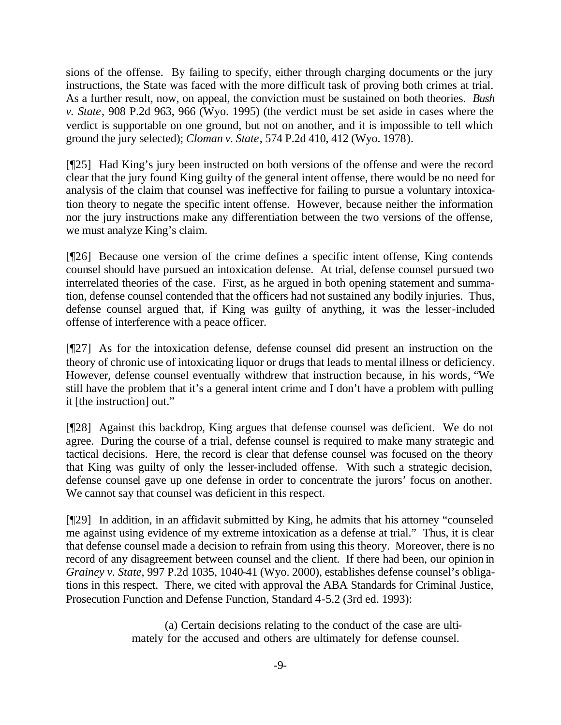sions of the offense. By failing to specify, either through charging documents or the jury instructions, the State was faced with the more difficult task of proving both crimes at trial. As a further result, now, on appeal, the conviction must be sustained on both theories. *Bush v. State*, 908 P.2d 963, 966 (Wyo. 1995) (the verdict must be set aside in cases where the verdict is supportable on one ground, but not on another, and it is impossible to tell which ground the jury selected); *Cloman v. State*, 574 P.2d 410, 412 (Wyo. 1978).

[¶25] Had King's jury been instructed on both versions of the offense and were the record clear that the jury found King guilty of the general intent offense, there would be no need for analysis of the claim that counsel was ineffective for failing to pursue a voluntary intoxication theory to negate the specific intent offense. However, because neither the information nor the jury instructions make any differentiation between the two versions of the offense, we must analyze King's claim.

[¶26] Because one version of the crime defines a specific intent offense, King contends counsel should have pursued an intoxication defense. At trial, defense counsel pursued two interrelated theories of the case. First, as he argued in both opening statement and summation, defense counsel contended that the officers had not sustained any bodily injuries. Thus, defense counsel argued that, if King was guilty of anything, it was the lesser-included offense of interference with a peace officer.

[¶27] As for the intoxication defense, defense counsel did present an instruction on the theory of chronic use of intoxicating liquor or drugs that leads to mental illness or deficiency. However, defense counsel eventually withdrew that instruction because, in his words, "We still have the problem that it's a general intent crime and I don't have a problem with pulling it [the instruction] out."

[¶28] Against this backdrop, King argues that defense counsel was deficient. We do not agree. During the course of a trial, defense counsel is required to make many strategic and tactical decisions. Here, the record is clear that defense counsel was focused on the theory that King was guilty of only the lesser-included offense. With such a strategic decision, defense counsel gave up one defense in order to concentrate the jurors' focus on another. We cannot say that counsel was deficient in this respect.

[¶29] In addition, in an affidavit submitted by King, he admits that his attorney "counseled me against using evidence of my extreme intoxication as a defense at trial." Thus, it is clear that defense counsel made a decision to refrain from using this theory. Moreover, there is no record of any disagreement between counsel and the client. If there had been, our opinion in *Grainey v. State*, 997 P.2d 1035, 1040-41 (Wyo. 2000), establishes defense counsel's obligations in this respect. There, we cited with approval the ABA Standards for Criminal Justice, Prosecution Function and Defense Function, Standard 4-5.2 (3rd ed. 1993):

> (a) Certain decisions relating to the conduct of the case are ultimately for the accused and others are ultimately for defense counsel.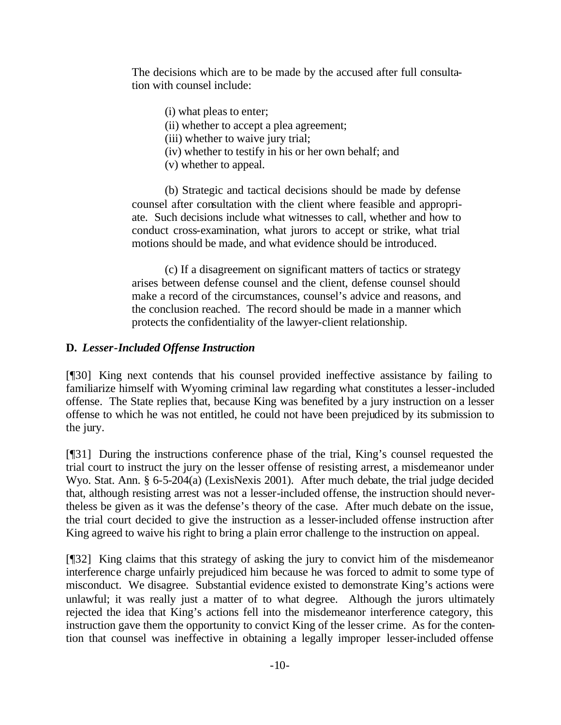The decisions which are to be made by the accused after full consultation with counsel include:

(i) what pleas to enter;

(ii) whether to accept a plea agreement;

(iii) whether to waive jury trial;

(iv) whether to testify in his or her own behalf; and

(v) whether to appeal.

(b) Strategic and tactical decisions should be made by defense counsel after consultation with the client where feasible and appropriate. Such decisions include what witnesses to call, whether and how to conduct cross-examination, what jurors to accept or strike, what trial motions should be made, and what evidence should be introduced.

(c) If a disagreement on significant matters of tactics or strategy arises between defense counsel and the client, defense counsel should make a record of the circumstances, counsel's advice and reasons, and the conclusion reached. The record should be made in a manner which protects the confidentiality of the lawyer-client relationship.

# **D.** *Lesser-Included Offense Instruction*

[¶30] King next contends that his counsel provided ineffective assistance by failing to familiarize himself with Wyoming criminal law regarding what constitutes a lesser-included offense. The State replies that, because King was benefited by a jury instruction on a lesser offense to which he was not entitled, he could not have been prejudiced by its submission to the jury.

[¶31] During the instructions conference phase of the trial, King's counsel requested the trial court to instruct the jury on the lesser offense of resisting arrest, a misdemeanor under Wyo. Stat. Ann. § 6-5-204(a) (LexisNexis 2001). After much debate, the trial judge decided that, although resisting arrest was not a lesser-included offense, the instruction should nevertheless be given as it was the defense's theory of the case. After much debate on the issue, the trial court decided to give the instruction as a lesser-included offense instruction after King agreed to waive his right to bring a plain error challenge to the instruction on appeal.

[¶32] King claims that this strategy of asking the jury to convict him of the misdemeanor interference charge unfairly prejudiced him because he was forced to admit to some type of misconduct. We disagree. Substantial evidence existed to demonstrate King's actions were unlawful; it was really just a matter of to what degree. Although the jurors ultimately rejected the idea that King's actions fell into the misdemeanor interference category, this instruction gave them the opportunity to convict King of the lesser crime. As for the contention that counsel was ineffective in obtaining a legally improper lesser-included offense